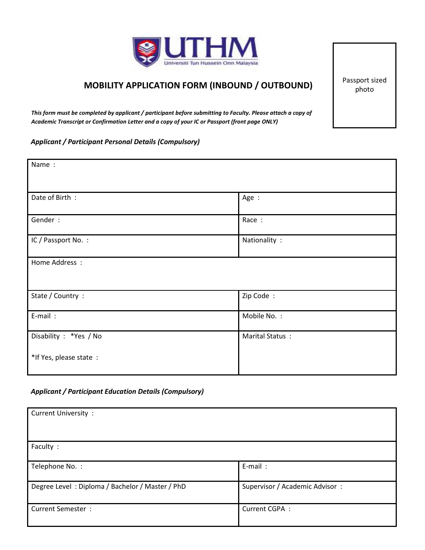

## **MOBILITY APPLICATION FORM (INBOUND / OUTBOUND)**

Passport sized photo

*This form must be completed by applicant / participant before submitting to Faculty. Please attach a copy of Academic Transcript or Confirmation Letter and a copy of your IC or Passport (front page ONLY)* 

### *Applicant / Participant Personal Details (Compulsory)*

| Name:                   |                 |
|-------------------------|-----------------|
| Date of Birth:          | Age :           |
| Gender:                 | Race :          |
| IC / Passport No. :     | Nationality :   |
| Home Address :          |                 |
| State / Country :       | Zip Code:       |
| E-mail:                 | Mobile No.:     |
| Disability : *Yes / No  | Marital Status: |
| *If Yes, please state : |                 |

### *Applicant / Participant Education Details (Compulsory)*

| <b>Current University:</b>                      |                                |
|-------------------------------------------------|--------------------------------|
| Faculty :                                       |                                |
| Telephone No.:                                  | E-mail:                        |
| Degree Level: Diploma / Bachelor / Master / PhD | Supervisor / Academic Advisor: |
| <b>Current Semester:</b>                        | Current CGPA:                  |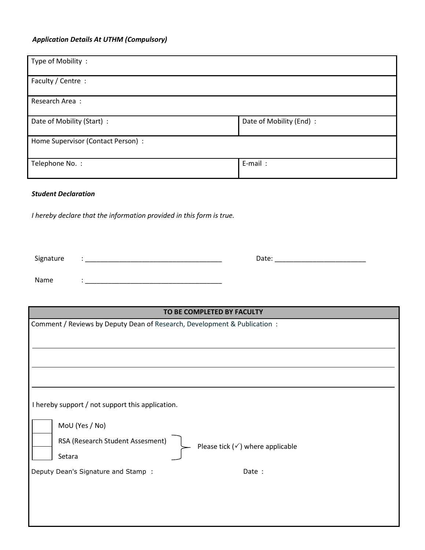# *Application Details At UTHM (Compulsory)*

| Type of Mobility:                  |                          |  |
|------------------------------------|--------------------------|--|
| Faculty / Centre :                 |                          |  |
| Research Area:                     |                          |  |
| Date of Mobility (Start) :         | Date of Mobility (End) : |  |
| Home Supervisor (Contact Person) : |                          |  |
| Telephone No.:                     | E-mail:                  |  |

### *Student Declaration*

 *I hereby declare that the information provided in this form is true.* 

| Signature | $\bullet$ | Date: |
|-----------|-----------|-------|
|           |           |       |
| Name      |           |       |

| TO BE COMPLETED BY FACULTY                                                      |  |  |
|---------------------------------------------------------------------------------|--|--|
| Comment / Reviews by Deputy Dean of Research, Development & Publication:        |  |  |
|                                                                                 |  |  |
|                                                                                 |  |  |
|                                                                                 |  |  |
|                                                                                 |  |  |
|                                                                                 |  |  |
|                                                                                 |  |  |
| I hereby support / not support this application.                                |  |  |
| MoU (Yes / No)                                                                  |  |  |
| RSA (Research Student Assesment)<br>Please tick $(\checkmark)$ where applicable |  |  |
| Setara                                                                          |  |  |
| Deputy Dean's Signature and Stamp:<br>Date :                                    |  |  |
|                                                                                 |  |  |
|                                                                                 |  |  |
|                                                                                 |  |  |
|                                                                                 |  |  |